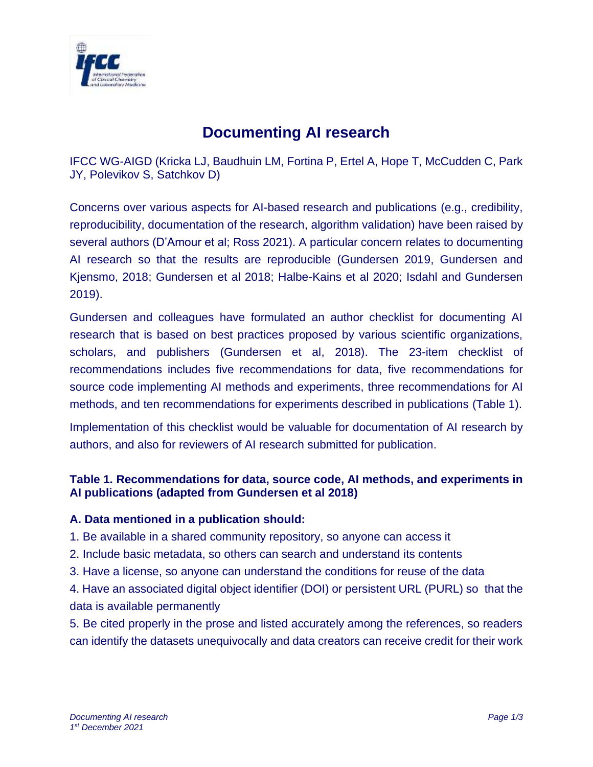

# **Documenting AI research**

IFCC WG-AIGD (Kricka LJ, Baudhuin LM, Fortina P, Ertel A, Hope T, McCudden C, Park JY, Polevikov S, Satchkov D)

Concerns over various aspects for AI-based research and publications (e.g., credibility, reproducibility, documentation of the research, algorithm validation) have been raised by several authors (D'Amour et al; Ross 2021). A particular concern relates to documenting AI research so that the results are reproducible (Gundersen 2019, Gundersen and Kjensmo, 2018; Gundersen et al 2018; Halbe-Kains et al 2020; Isdahl and Gundersen 2019).

Gundersen and colleagues have formulated an author checklist for documenting AI research that is based on best practices proposed by various scientific organizations, scholars, and publishers (Gundersen et al, 2018). The 23-item checklist of recommendations includes five recommendations for data, five recommendations for source code implementing AI methods and experiments, three recommendations for AI methods, and ten recommendations for experiments described in publications (Table 1).

Implementation of this checklist would be valuable for documentation of AI research by authors, and also for reviewers of AI research submitted for publication.

## **Table 1. Recommendations for data, source code, AI methods, and experiments in AI publications (adapted from Gundersen et al 2018)**

### **A. Data mentioned in a publication should:**

- 1. Be available in a shared community repository, so anyone can access it
- 2. Include basic metadata, so others can search and understand its contents
- 3. Have a license, so anyone can understand the conditions for reuse of the data

4. Have an associated digital object identifier (DOI) or persistent URL (PURL) so that the data is available permanently

5. Be cited properly in the prose and listed accurately among the references, so readers can identify the datasets unequivocally and data creators can receive credit for their work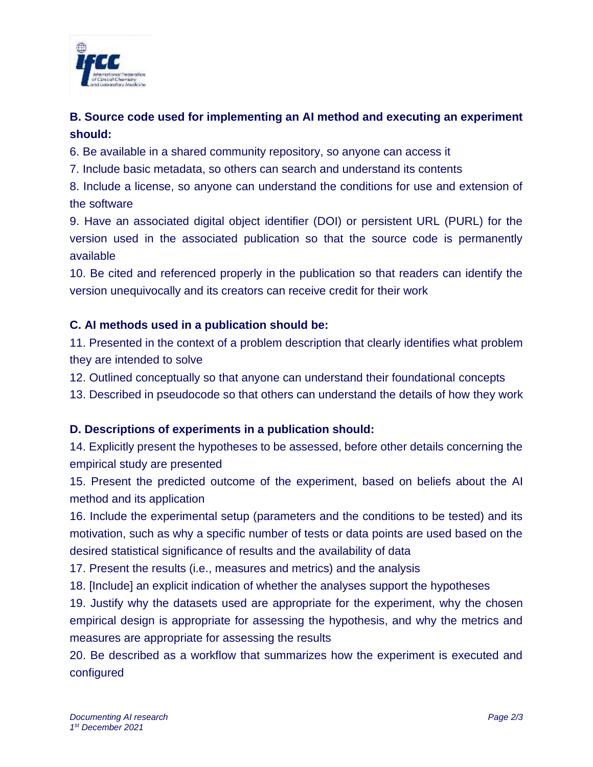

# **B. Source code used for implementing an AI method and executing an experiment should:**

6. Be available in a shared community repository, so anyone can access it

7. Include basic metadata, so others can search and understand its contents

8. Include a license, so anyone can understand the conditions for use and extension of the software

9. Have an associated digital object identifier (DOI) or persistent URL (PURL) for the version used in the associated publication so that the source code is permanently available

10. Be cited and referenced properly in the publication so that readers can identify the version unequivocally and its creators can receive credit for their work

## **C. AI methods used in a publication should be:**

11. Presented in the context of a problem description that clearly identifies what problem they are intended to solve

12. Outlined conceptually so that anyone can understand their foundational concepts

13. Described in pseudocode so that others can understand the details of how they work

### **D. Descriptions of experiments in a publication should:**

14. Explicitly present the hypotheses to be assessed, before other details concerning the empirical study are presented

15. Present the predicted outcome of the experiment, based on beliefs about the AI method and its application

16. Include the experimental setup (parameters and the conditions to be tested) and its motivation, such as why a specific number of tests or data points are used based on the desired statistical significance of results and the availability of data

17. Present the results (i.e., measures and metrics) and the analysis

18. [Include] an explicit indication of whether the analyses support the hypotheses

19. Justify why the datasets used are appropriate for the experiment, why the chosen empirical design is appropriate for assessing the hypothesis, and why the metrics and measures are appropriate for assessing the results

20. Be described as a workflow that summarizes how the experiment is executed and configured